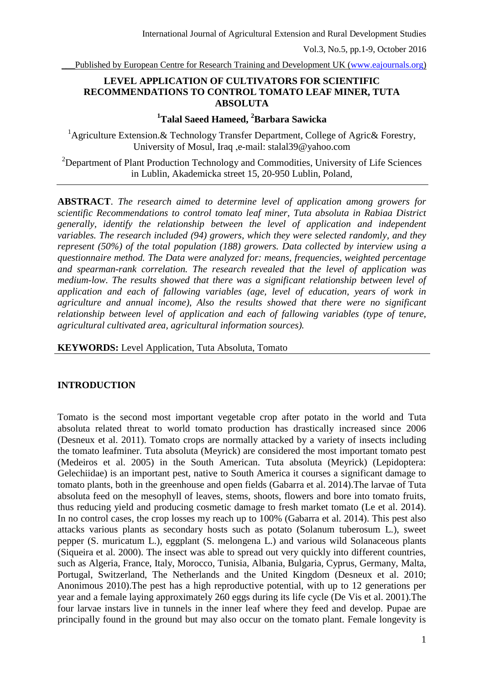Published by European Centre for Research Training and Development UK (www.eajournals.org)

## **LEVEL APPLICATION OF CULTIVATORS FOR SCIENTIFIC RECOMMENDATIONS TO CONTROL TOMATO LEAF MINER, TUTA ABSOLUTA**

## **<sup>1</sup>Talal Saeed Hameed, <sup>2</sup>Barbara Sawicka**

<sup>1</sup>Agriculture Extension. & Technology Transfer Department, College of Agric & Forestry, University of Mosul, Iraq ,e-mail: stalal39@yahoo.com

<sup>2</sup>Department of Plant Production Technology and Commodities, University of Life Sciences in Lublin, Akademicka street 15, 20-950 Lublin, Poland,

**ABSTRACT**. *The research aimed to determine level of application among growers for scientific Recommendations to control tomato leaf miner, Tuta absoluta in Rabiaa District generally, identify the relationship between the level of application and independent variables. The research included (94) growers, which they were selected randomly, and they represent (50%) of the total population (188) growers. Data collected by interview using a questionnaire method. The Data were analyzed for: means, frequencies, weighted percentage and spearman-rank correlation. The research revealed that the level of application was medium-low. The results showed that there was a significant relationship between level of application and each of fallowing variables (age, level of education, years of work in agriculture and annual income), Also the results showed that there were no significant relationship between level of application and each of fallowing variables (type of tenure, agricultural cultivated area, agricultural information sources).*

**KEYWORDS:** Level Application, Tuta Absoluta, Tomato

#### **INTRODUCTION**

Tomato is the second most important vegetable crop after potato in the world and Tuta absoluta related threat to world tomato production has drastically increased since 2006 (Desneux et al. 2011). Tomato crops are normally attacked by a variety of insects including the tomato leafminer. Tuta absoluta (Meyrick) are considered the most important tomato pest (Medeiros et al. 2005) in the South American. Tuta absoluta (Meyrick) (Lepidoptera: Gelechiidae) is an important pest, native to South America it courses a significant damage to tomato plants, both in the greenhouse and open fields (Gabarra et al. 2014).The larvae of Tuta absoluta feed on the mesophyll of leaves, stems, shoots, flowers and bore into tomato fruits, thus reducing yield and producing cosmetic damage to fresh market tomato (Le et al. 2014). In no control cases, the crop losses my reach up to 100% (Gabarra et al. 2014). This pest also attacks various plants as secondary hosts such as potato (Solanum tuberosum L.), sweet pepper (S. muricatum L.), eggplant (S. melongena L.) and various wild Solanaceous plants (Siqueira et al. 2000). The insect was able to spread out very quickly into different countries, such as Algeria, France, Italy, Morocco, Tunisia, Albania, Bulgaria, Cyprus, Germany, Malta, Portugal, Switzerland, The Netherlands and the United Kingdom (Desneux et al. 2010; Anonimous 2010).The pest has a high reproductive potential, with up to 12 generations per year and a female laying approximately 260 eggs during its life cycle (De Vis et al. 2001).The four larvae instars live in tunnels in the inner leaf where they feed and develop. Pupae are principally found in the ground but may also occur on the tomato plant. Female longevity is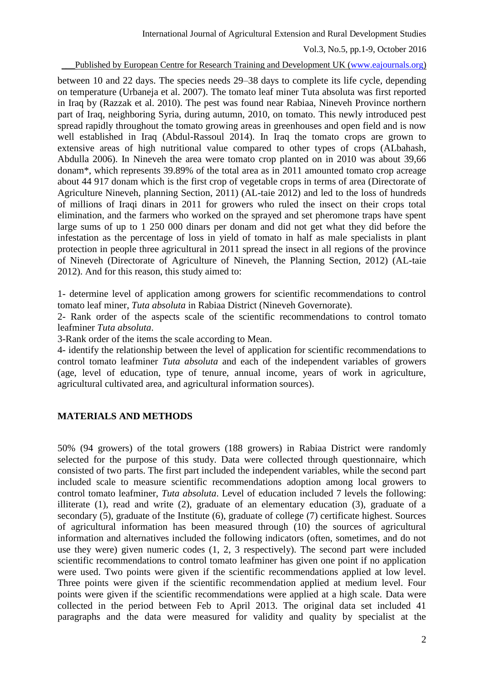Published by European Centre for Research Training and Development UK (www.eajournals.org)

between 10 and 22 days. The species needs 29–38 days to complete its life cycle, depending on temperature (Urbaneja et al. 2007). The tomato leaf miner Tuta absoluta was first reported in Iraq by (Razzak et al. 2010). The pest was found near Rabiaa, Nineveh Province northern part of Iraq, neighboring Syria, during autumn, 2010, on tomato. This newly introduced pest spread rapidly throughout the tomato growing areas in greenhouses and open field and is now well established in Iraq (Abdul-Rassoul 2014). In Iraq the tomato crops are grown to extensive areas of high nutritional value compared to other types of crops (ALbahash, Abdulla 2006). In Nineveh the area were tomato crop planted on in 2010 was about 39,66 donam\*, which represents 39.89% of the total area as in 2011 amounted tomato crop acreage about 44 917 donam which is the first crop of vegetable crops in terms of area (Directorate of Agriculture Nineveh, planning Section, 2011) (AL-taie 2012) and led to the loss of hundreds of millions of Iraqi dinars in 2011 for growers who ruled the insect on their crops total elimination, and the farmers who worked on the sprayed and set pheromone traps have spent large sums of up to 1 250 000 dinars per donam and did not get what they did before the infestation as the percentage of loss in yield of tomato in half as male specialists in plant protection in people three agricultural in 2011 spread the insect in all regions of the province of Nineveh (Directorate of Agriculture of Nineveh, the Planning Section, 2012) (AL-taie 2012). And for this reason, this study aimed to:

1- determine level of application among growers for scientific recommendations to control tomato leaf miner, *Tuta absoluta* in Rabiaa District (Nineveh Governorate).

2- Rank order of the aspects scale of the scientific recommendations to control tomato leafminer *Tuta absoluta*.

3-Rank order of the items the scale according to Mean.

4- identify the relationship between the level of application for scientific recommendations to control tomato leafminer *Tuta absoluta* and each of the independent variables of growers (age, level of education, type of tenure, annual income, years of work in agriculture, agricultural cultivated area, and agricultural information sources).

## **MATERIALS AND METHODS**

50% (94 growers) of the total growers (188 growers) in Rabiaa District were randomly selected for the purpose of this study. Data were collected through questionnaire, which consisted of two parts. The first part included the independent variables, while the second part included scale to measure scientific recommendations adoption among local growers to control tomato leafminer, *Tuta absoluta*. Level of education included 7 levels the following: illiterate (1), read and write (2), graduate of an elementary education (3), graduate of a secondary (5), graduate of the Institute (6), graduate of college (7) certificate highest. Sources of agricultural information has been measured through (10) the sources of agricultural information and alternatives included the following indicators (often, sometimes, and do not use they were) given numeric codes (1, 2, 3 respectively). The second part were included scientific recommendations to control tomato leafminer has given one point if no application were used. Two points were given if the scientific recommendations applied at low level. Three points were given if the scientific recommendation applied at medium level. Four points were given if the scientific recommendations were applied at a high scale. Data were collected in the period between Feb to April 2013. The original data set included 41 paragraphs and the data were measured for validity and quality by specialist at the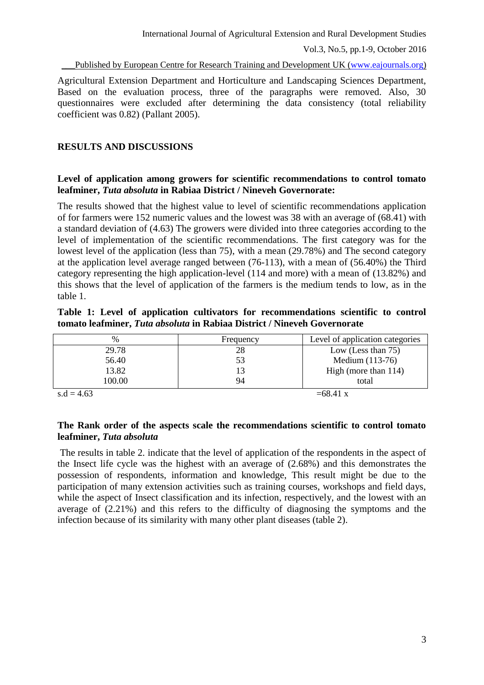Published by European Centre for Research Training and Development UK (www.eajournals.org)

Agricultural Extension Department and Horticulture and Landscaping Sciences Department, Based on the evaluation process, three of the paragraphs were removed. Also, 30 questionnaires were excluded after determining the data consistency (total reliability coefficient was 0.82) (Pallant 2005).

#### **RESULTS AND DISCUSSIONS**

#### **Level of application among growers for scientific recommendations to control tomato leafminer,** *Tuta absoluta* **in Rabiaa District / Nineveh Governorate:**

The results showed that the highest value to level of scientific recommendations application of for farmers were 152 numeric values and the lowest was 38 with an average of (68.41) with a standard deviation of (4.63) The growers were divided into three categories according to the level of implementation of the scientific recommendations. The first category was for the lowest level of the application (less than 75), with a mean (29.78%) and The second category at the application level average ranged between (76-113), with a mean of (56.40%) the Third category representing the high application-level (114 and more) with a mean of (13.82%) and this shows that the level of application of the farmers is the medium tends to low, as in the table 1.

#### **Table 1: Level of application cultivators for recommendations scientific to control tomato leafminer,** *Tuta absoluta* **in Rabiaa District / Nineveh Governorate**

| %            | Frequency | Level of application categories |
|--------------|-----------|---------------------------------|
| 29.78        | 28        | Low (Less than $75$ )           |
| 56.40        | 53        | Medium $(113-76)$               |
| 13.82        | 13        | High (more than 114)            |
| 100.00       | 94        | total                           |
| $s.d = 4.63$ |           | $=68.41 \text{ x}$              |

## **The Rank order of the aspects scale the recommendations scientific to control tomato leafminer,** *Tuta absoluta*

The results in table 2. indicate that the level of application of the respondents in the aspect of the Insect life cycle was the highest with an average of (2.68%) and this demonstrates the possession of respondents, information and knowledge, This result might be due to the participation of many extension activities such as training courses, workshops and field days, while the aspect of Insect classification and its infection, respectively, and the lowest with an average of (2.21%) and this refers to the difficulty of diagnosing the symptoms and the infection because of its similarity with many other plant diseases (table 2).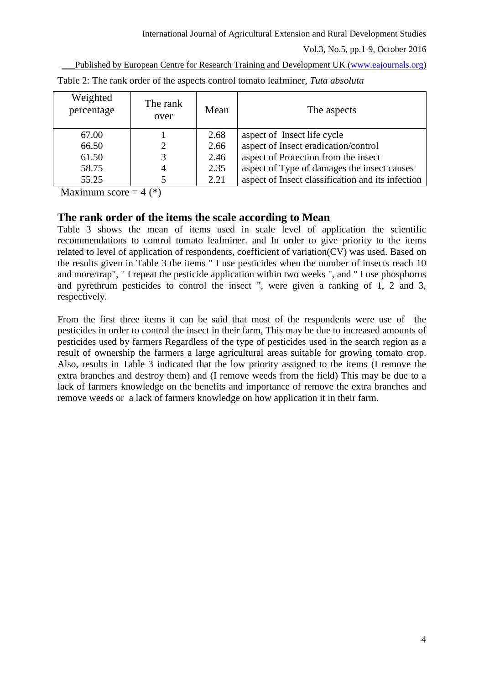\_\_\_Published by European Centre for Research Training and Development UK (www.eajournals.org)

| Weighted<br>percentage | The rank<br>over | Mean | The aspects                                       |
|------------------------|------------------|------|---------------------------------------------------|
| 67.00                  |                  | 2.68 | aspect of Insect life cycle                       |
| 66.50                  |                  | 2.66 | aspect of Insect eradication/control              |
| 61.50                  | 3                | 2.46 | aspect of Protection from the insect              |
| 58.75                  | $\overline{A}$   | 2.35 | aspect of Type of damages the insect causes       |
| 55.25                  |                  | 2.21 | aspect of Insect classification and its infection |

Table 2: The rank order of the aspects control tomato leafminer, *Tuta absoluta*

Maximum score  $= 4$  (\*)

# **The rank order of the items the scale according to Mean**

Table 3 shows the mean of items used in scale level of application the scientific recommendations to control tomato leafminer. and In order to give priority to the items related to level of application of respondents, coefficient of variation(CV) was used. Based on the results given in Table 3 the items " I use pesticides when the number of insects reach 10 and more/trap", " I repeat the pesticide application within two weeks ", and " I use phosphorus and pyrethrum pesticides to control the insect ", were given a ranking of 1, 2 and 3, respectively.

From the first three items it can be said that most of the respondents were use of the pesticides in order to control the insect in their farm, This may be due to increased amounts of pesticides used by farmers Regardless of the type of pesticides used in the search region as a result of ownership the farmers a large agricultural areas suitable for growing tomato crop. Also, results in Table 3 indicated that the low priority assigned to the items (I remove the extra branches and destroy them) and (I remove weeds from the field) This may be due to a lack of farmers knowledge on the benefits and importance of remove the extra branches and remove weeds or a lack of farmers knowledge on how application it in their farm.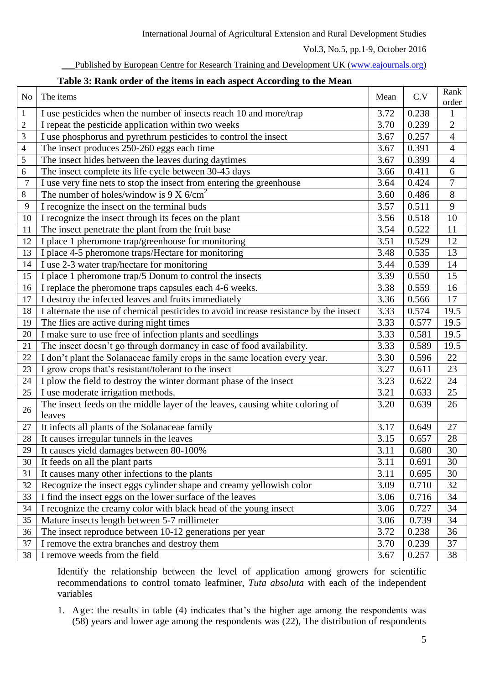| Published by European Centre for Research Training and Development UK (www.eajournals.org) |  |  |  |  |  |
|--------------------------------------------------------------------------------------------|--|--|--|--|--|
|                                                                                            |  |  |  |  |  |

| Table 3: Rank order of the items in each aspect According to the Mean |  |
|-----------------------------------------------------------------------|--|
|                                                                       |  |

| N <sub>o</sub>          | The items                                                                             |                   | C.V   | Rank           |
|-------------------------|---------------------------------------------------------------------------------------|-------------------|-------|----------------|
|                         |                                                                                       |                   |       | order          |
| $\mathbf{1}$            | I use pesticides when the number of insects reach 10 and more/trap                    | 3.72              | 0.238 | $\mathbf{1}$   |
| $\overline{2}$          | I repeat the pesticide application within two weeks                                   | 3.70              | 0.239 | $\overline{2}$ |
| 3                       | I use phosphorus and pyrethrum pesticides to control the insect                       | 3.67              | 0.257 | $\overline{4}$ |
| $\overline{\mathbf{4}}$ | The insect produces 250-260 eggs each time                                            | 3.67              | 0.391 | $\overline{4}$ |
| 5                       | The insect hides between the leaves during daytimes                                   | 3.67              | 0.399 | $\overline{4}$ |
| 6                       | The insect complete its life cycle between 30-45 days                                 | 3.66              | 0.411 | 6              |
| $\overline{7}$          | I use very fine nets to stop the insect from entering the greenhouse                  | 3.64              | 0.424 | $\overline{7}$ |
| 8                       | The number of holes/window is 9 X $6/cm2$                                             | 3.60              | 0.486 | $8\,$          |
| 9                       | I recognize the insect on the terminal buds                                           | 3.57              | 0.511 | $\mathbf{9}$   |
| 10                      | I recognize the insect through its feces on the plant                                 | 3.56              | 0.518 | 10             |
| 11                      | The insect penetrate the plant from the fruit base                                    | 3.54              | 0.522 | 11             |
| 12                      | I place 1 pheromone trap/greenhouse for monitoring                                    | 3.51              | 0.529 | 12             |
| 13                      | I place 4-5 pheromone traps/Hectare for monitoring                                    | 3.48              | 0.535 | 13             |
| 14                      | I use 2-3 water trap/hectare for monitoring                                           | 3.44              | 0.539 | 14             |
| 15                      | I place 1 pheromone trap/5 Donum to control the insects                               | 3.39              | 0.550 | 15             |
| 16                      | I replace the pheromone traps capsules each 4-6 weeks.                                | 3.38              | 0.559 | 16             |
| 17                      | I destroy the infected leaves and fruits immediately                                  | 3.36              | 0.566 | 17             |
| 18                      | I alternate the use of chemical pesticides to avoid increase resistance by the insect | 3.33              | 0.574 | 19.5           |
| 19                      | The flies are active during night times                                               | 3.33              | 0.577 | 19.5           |
| 20                      | I make sure to use free of infection plants and seedlings                             | 3.33              | 0.581 | 19.5           |
| 21                      | The insect doesn't go through dormancy in case of food availability.                  | 3.33              | 0.589 | 19.5           |
| 22                      | I don't plant the Solanaceae family crops in the same location every year.            | 3.30              | 0.596 | 22             |
| 23                      | I grow crops that's resistant/tolerant to the insect                                  | $\overline{3.27}$ | 0.611 | 23             |
| 24                      | I plow the field to destroy the winter dormant phase of the insect                    | 3.23              | 0.622 | 24             |
| 25                      | I use moderate irrigation methods.                                                    | 3.21              | 0.633 | 25             |
|                         | The insect feeds on the middle layer of the leaves, causing white coloring of         | 3.20              | 0.639 | 26             |
| 26                      | leaves                                                                                |                   |       |                |
| 27                      | It infects all plants of the Solanaceae family                                        | 3.17              | 0.649 | 27             |
| 28                      | It causes irregular tunnels in the leaves                                             | $\overline{3.15}$ | 0.657 | 28             |
| 29                      | It causes yield damages between 80-100%                                               | 3.11              | 0.680 | 30             |
| 30                      | It feeds on all the plant parts                                                       | 3.11              | 0.691 | 30             |
| 31                      | It causes many other infections to the plants                                         | 3.11              | 0.695 | 30             |
| 32                      | Recognize the insect eggs cylinder shape and creamy yellowish color                   | 3.09              | 0.710 | 32             |
| 33                      | I find the insect eggs on the lower surface of the leaves                             | 3.06              | 0.716 | 34             |
| 34                      | I recognize the creamy color with black head of the young insect                      | 3.06              | 0.727 | 34             |
| 35                      | Mature insects length between 5-7 millimeter                                          | 3.06              | 0.739 | 34             |
| 36                      | The insect reproduce between 10-12 generations per year                               | 3.72              | 0.238 | 36             |
| 37                      | I remove the extra branches and destroy them                                          | 3.70              | 0.239 | 37             |
| 38                      | I remove weeds from the field                                                         | 3.67              | 0.257 | 38             |

Identify the relationship between the level of application among growers for scientific recommendations to control tomato leafminer, *Tuta absoluta* with each of the independent variables

1. Age: the results in table (4) indicates that's the higher age among the respondents was (58) years and lower age among the respondents was (22), The distribution of respondents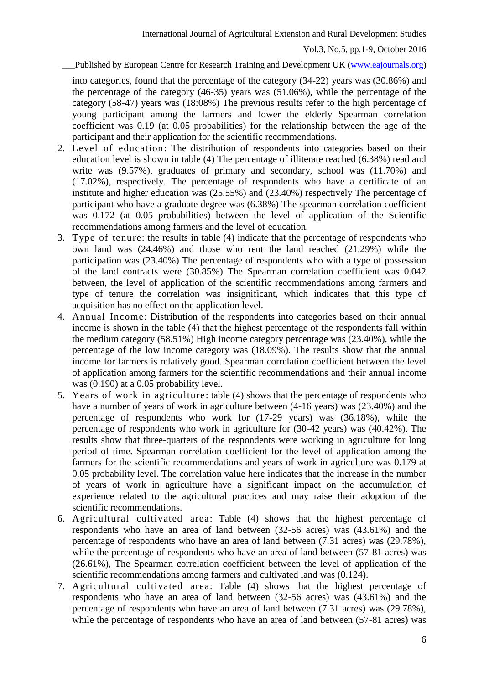#### Published by European Centre for Research Training and Development UK (www.eajournals.org)

into categories, found that the percentage of the category (34-22) years was (30.86%) and the percentage of the category (46-35) years was (51.06%), while the percentage of the category (58-47) years was (18:08%) The previous results refer to the high percentage of young participant among the farmers and lower the elderly Spearman correlation coefficient was 0.19 (at 0.05 probabilities) for the relationship between the age of the participant and their application for the scientific recommendations.

- 2. Level of education: The distribution of respondents into categories based on their education level is shown in table (4) The percentage of illiterate reached (6.38%) read and write was  $(9.57\%)$ , graduates of primary and secondary, school was  $(11.70\%)$  and (17.02%), respectively. The percentage of respondents who have a certificate of an institute and higher education was (25.55%) and (23.40%) respectively The percentage of participant who have a graduate degree was (6.38%) The spearman correlation coefficient was 0.172 (at 0.05 probabilities) between the level of application of the Scientific recommendations among farmers and the level of education.
- 3. Type of tenure: the results in table (4) indicate that the percentage of respondents who own land was (24.46%) and those who rent the land reached (21.29%) while the participation was (23.40%) The percentage of respondents who with a type of possession of the land contracts were (30.85%) The Spearman correlation coefficient was 0.042 between, the level of application of the scientific recommendations among farmers and type of tenure the correlation was insignificant, which indicates that this type of acquisition has no effect on the application level.
- 4. Annual Income: Distribution of the respondents into categories based on their annual income is shown in the table (4) that the highest percentage of the respondents fall within the medium category (58.51%) High income category percentage was (23.40%), while the percentage of the low income category was (18.09%). The results show that the annual income for farmers is relatively good. Spearman correlation coefficient between the level of application among farmers for the scientific recommendations and their annual income was (0.190) at a 0.05 probability level.
- 5. Years of work in agriculture: table (4) shows that the percentage of respondents who have a number of years of work in agriculture between (4-16 years) was (23.40%) and the percentage of respondents who work for (17-29 years) was (36.18%), while the percentage of respondents who work in agriculture for (30-42 years) was (40.42%), The results show that three-quarters of the respondents were working in agriculture for long period of time. Spearman correlation coefficient for the level of application among the farmers for the scientific recommendations and years of work in agriculture was 0.179 at 0.05 probability level. The correlation value here indicates that the increase in the number of years of work in agriculture have a significant impact on the accumulation of experience related to the agricultural practices and may raise their adoption of the scientific recommendations.
- 6. Agricultural cultivated area: Table (4) shows that the highest percentage of respondents who have an area of land between (32-56 acres) was (43.61%) and the percentage of respondents who have an area of land between (7.31 acres) was (29.78%), while the percentage of respondents who have an area of land between (57-81 acres) was (26.61%), The Spearman correlation coefficient between the level of application of the scientific recommendations among farmers and cultivated land was (0.124).
- 7. Agricultural cultivated area: Table (4) shows that the highest percentage of respondents who have an area of land between (32-56 acres) was (43.61%) and the percentage of respondents who have an area of land between (7.31 acres) was (29.78%), while the percentage of respondents who have an area of land between (57-81 acres) was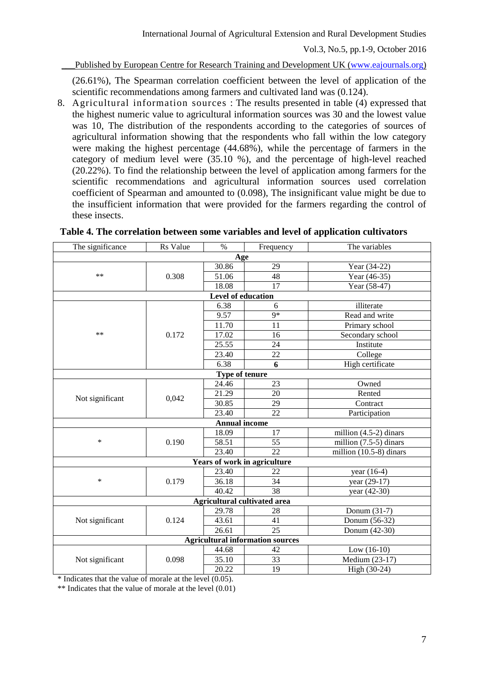\_\_\_Published by European Centre for Research Training and Development UK (www.eajournals.org)

(26.61%), The Spearman correlation coefficient between the level of application of the scientific recommendations among farmers and cultivated land was (0.124).

8. Agricultural information sources : The results presented in table (4) expressed that the highest numeric value to agricultural information sources was 30 and the lowest value was 10, The distribution of the respondents according to the categories of sources of agricultural information showing that the respondents who fall within the low category were making the highest percentage (44.68%), while the percentage of farmers in the category of medium level were (35.10 %), and the percentage of high-level reached (20.22%). To find the relationship between the level of application among farmers for the scientific recommendations and agricultural information sources used correlation coefficient of Spearman and amounted to (0.098), The insignificant value might be due to the insufficient information that were provided for the farmers regarding the control of these insects.

| The significance                        | Rs Value | $\%$           | Frequency                           | The variables             |  |  |  |
|-----------------------------------------|----------|----------------|-------------------------------------|---------------------------|--|--|--|
| Age                                     |          |                |                                     |                           |  |  |  |
|                                         |          | 30.86          | 29                                  | Year (34-22)              |  |  |  |
| $**$                                    | 0.308    | 51.06          | 48                                  | Year (46-35)              |  |  |  |
|                                         |          | 18.08          | 17                                  | Year (58-47)              |  |  |  |
| Level of education                      |          |                |                                     |                           |  |  |  |
|                                         |          | 6.38           | 6                                   | illiterate                |  |  |  |
|                                         |          | 9.57           | $9*$                                | Read and write            |  |  |  |
|                                         |          | 11.70          | 11                                  | Primary school            |  |  |  |
| **                                      | 0.172    | 17.02          | 16                                  | Secondary school          |  |  |  |
|                                         |          | 25.55          | 24                                  | Institute                 |  |  |  |
|                                         |          | 23.40          | 22                                  | College                   |  |  |  |
|                                         |          | 6.38           | 6                                   | <b>High certificate</b>   |  |  |  |
|                                         |          | Type of tenure |                                     |                           |  |  |  |
|                                         |          | 24.46          | $\overline{23}$                     | Owned                     |  |  |  |
| Not significant                         | 0,042    | 21.29          | 20                                  | Rented                    |  |  |  |
|                                         |          | 30.85          | 29                                  | Contract                  |  |  |  |
|                                         |          | 23.40          | $\overline{22}$                     | Participation             |  |  |  |
| <b>Annual income</b>                    |          |                |                                     |                           |  |  |  |
|                                         | 0.190    | 18.09          | 17                                  | million $(4.5-2)$ dinars  |  |  |  |
| $\ast$                                  |          | 58.51          | $\overline{55}$                     | million $(7.5-5)$ dinars  |  |  |  |
|                                         |          | 23.40          | $\overline{22}$                     | million $(10.5-8)$ dinars |  |  |  |
|                                         |          |                | <b>Years of work in agriculture</b> |                           |  |  |  |
|                                         | 0.179    | 23.40          | 22                                  | year (16-4)               |  |  |  |
| $\ast$                                  |          | 36.18          | $\overline{34}$                     | year $(29-17)$            |  |  |  |
|                                         |          | 40.42          | $\overline{38}$                     | year (42-30)              |  |  |  |
| Agricultural cultivated area            |          |                |                                     |                           |  |  |  |
|                                         | 0.124    | 29.78          | 28                                  | Donum (31-7)              |  |  |  |
| Not significant                         |          | 43.61          | 41                                  | Donum (56-32)             |  |  |  |
|                                         |          | 26.61          | 25                                  | Donum (42-30)             |  |  |  |
| <b>Agricultural information sources</b> |          |                |                                     |                           |  |  |  |
|                                         |          | 44.68          | 42                                  | $Low (16-10)$             |  |  |  |
| Not significant                         | 0.098    |                | 33                                  | Medium (23-17)            |  |  |  |
|                                         |          | 20.22          | 19                                  | High (30-24)              |  |  |  |

**Table 4. The correlation between some variables and level of application cultivators**

\* Indicates that the value of morale at the level (0.05).

\*\* Indicates that the value of morale at the level (0.01)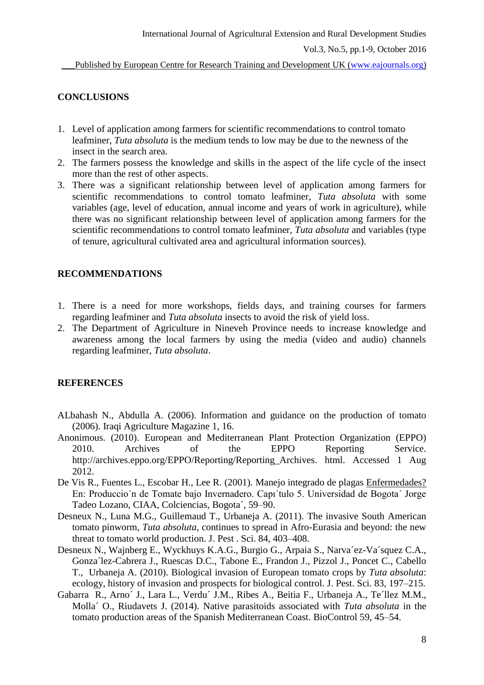Published by European Centre for Research Training and Development UK (www.eajournals.org)

## **CONCLUSIONS**

- 1. Level of application among farmers for scientific recommendations to control tomato leafminer, *Tuta absoluta* is the medium tends to low may be due to the newness of the insect in the search area.
- 2. The farmers possess the knowledge and skills in the aspect of the life cycle of the insect more than the rest of other aspects.
- 3. There was a significant relationship between level of application among farmers for scientific recommendations to control tomato leafminer, *Tuta absoluta* with some variables (age, level of education, annual income and years of work in agriculture), while there was no significant relationship between level of application among farmers for the scientific recommendations to control tomato leafminer, *Tuta absoluta* and variables (type of tenure, agricultural cultivated area and agricultural information sources).

## **RECOMMENDATIONS**

- 1. There is a need for more workshops, fields days, and training courses for farmers regarding leafminer and *Tuta absoluta* insects to avoid the risk of yield loss.
- 2. The Department of Agriculture in Nineveh Province needs to increase knowledge and awareness among the local farmers by using the media (video and audio) channels regarding leafminer, *Tuta absoluta*.

#### **REFERENCES**

- ALbahash N., Abdulla A. (2006). Information and guidance on the production of tomato (2006). Iraqi Agriculture Magazine 1, 16.
- Anonimous. (2010). European and Mediterranean Plant Protection Organization (EPPO) 2010. Archives of the EPPO Reporting Service. http://archives.eppo.org/EPPO/Reporting/Reporting Archives. html. Accessed 1 Aug 2012.
- De Vis R., Fuentes L., Escobar H., Lee R. (2001). Manejo integrado de plagas Enfermedades? En: Produccio´n de Tomate bajo Invernadero. Capı´tulo 5. Universidad de Bogota´ Jorge Tadeo Lozano, CIAA, Colciencias, Bogota´, 59–90.
- Desneux N., Luna M.G., Guillemaud T., Urbaneja A. (2011). The invasive South American tomato pinworm, *Tuta absoluta*, continues to spread in Afro-Eurasia and beyond: the new threat to tomato world production. J. Pest . Sci. 84, 403–408.
- Desneux N., Wajnberg E., Wyckhuys K.A.G., Burgio G., Arpaia S., Narva´ez-Va´squez C.A., Gonza´lez-Cabrera J., Ruescas D.C., Tabone E., Frandon J., Pizzol J., Poncet C., Cabello T., Urbaneja A. (2010). Biological invasion of European tomato crops by *Tuta absoluta*: ecology, history of invasion and prospects for biological control. J. Pest. Sci. 83, 197–215.
- Gabarra R., Arno´ J., Lara L., Verdu´ J.M., Ribes A., Beitia F., Urbaneja A., Te´llez M.M., Molla´ O., Riudavets J. (2014). Native parasitoids associated with *Tuta absoluta* in the tomato production areas of the Spanish Mediterranean Coast. BioControl 59, 45–54.